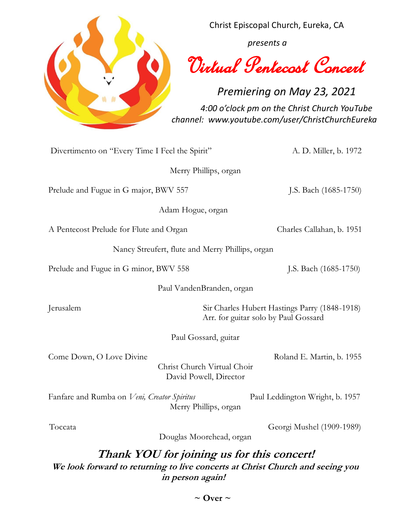

Christ Episcopal Church, Eureka, CA

 *presents a*

Virtual Pentecost Concert

*Premiering on May 23, 2021 4:00 o'clock pm on the Christ Church YouTube channel: www.youtube.com/user/ChristChurchEureka*

Divertimento on "Every Time I Feel the Spirit" A. D. Miller, b. 1972

Merry Phillips, organ

Prelude and Fugue in G major, BWV 557 J.S. Bach (1685-1750)

Adam Hogue, organ

A Pentecost Prelude for Flute and Organ Charles Callahan, b. 1951

Nancy Streufert, flute and Merry Phillips, organ

Prelude and Fugue in G minor, BWV 558 J.S. Bach (1685-1750)

Paul VandenBranden, organ

Jerusalem Sir Charles Hubert Hastings Parry (1848-1918) Arr. for guitar solo by Paul Gossard

Paul Gossard, guitar

Come Down, O Love Divine Roland E. Martin, b. 1955

Christ Church Virtual Choir David Powell, Director

Fanfare and Rumba on *Veni*, Creator Spiritus Paul Leddington Wright, b. 1957 Merry Phillips, organ

Toccata Georgi Mushel (1909-1989)

Douglas Moorehead, organ

# **Thank YOU for joining us for this concert!**

**We look forward to returning to live concerts at Christ Church and seeing you in person again!** 

 $\sim$  Over  $\sim$